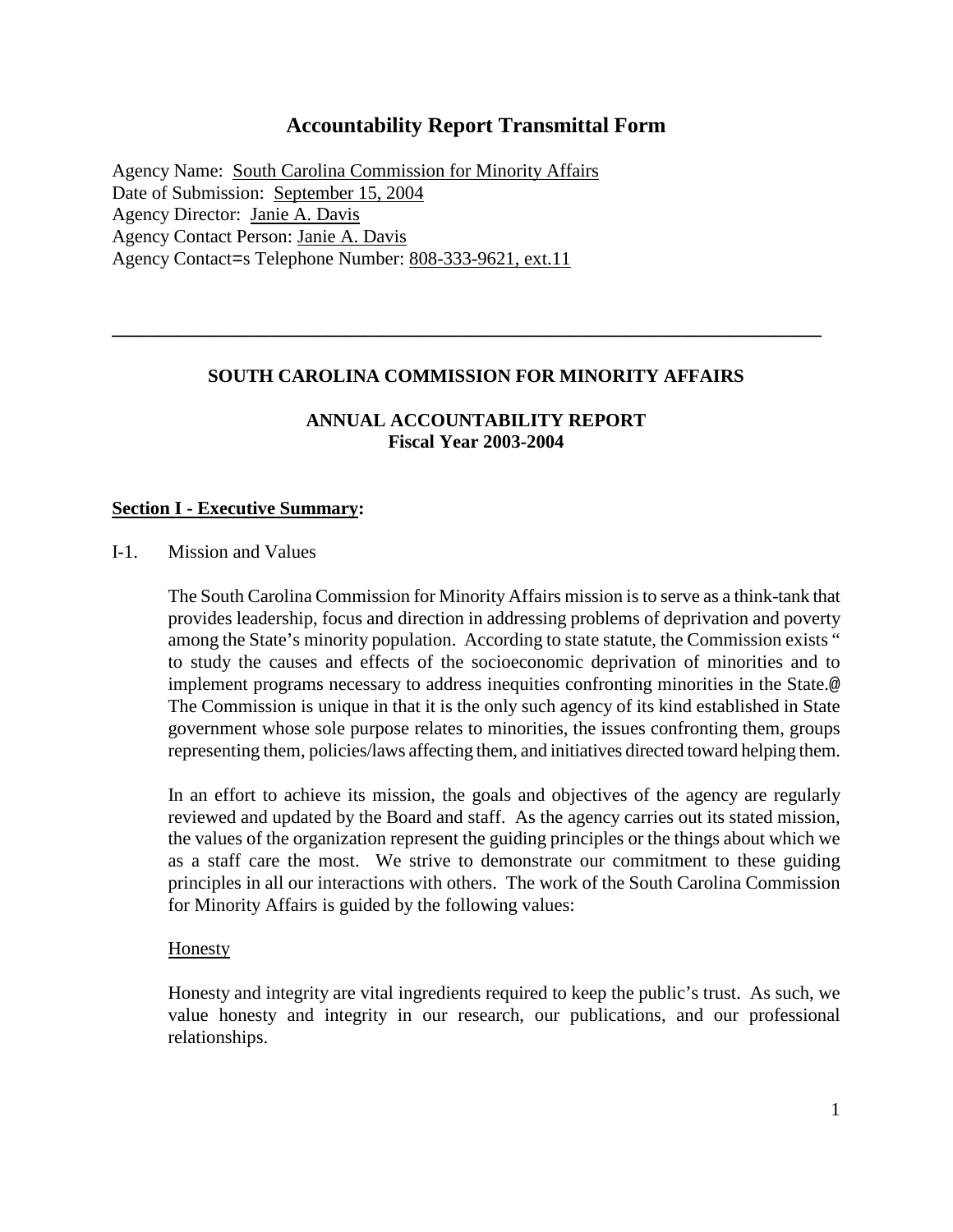## **Accountability Report Transmittal Form**

Agency Name:South Carolina Commission for Minority Affairs Date of Submission: September 15, 2004 Agency Director: Janie A. Davis Agency Contact Person: Janie A. Davis Agency Contact=s Telephone Number: 808-333-9621, ext.11

## **SOUTH CAROLINA COMMISSION FOR MINORITY AFFAIRS**

**\_\_\_\_\_\_\_\_\_\_\_\_\_\_\_\_\_\_\_\_\_\_\_\_\_\_\_\_\_\_\_\_\_\_\_\_\_\_\_\_\_\_\_\_\_\_\_\_\_\_\_\_\_\_\_\_\_\_\_\_\_\_\_\_\_\_\_\_\_\_\_\_\_\_\_\_**

## **ANNUAL ACCOUNTABILITY REPORT Fiscal Year 2003-2004**

## **Section I - Executive Summary:**

I-1. Mission and Values

The South Carolina Commission for Minority Affairs mission is to serve as a think-tank that provides leadership, focus and direction in addressing problems of deprivation and poverty among the State's minority population. According to state statute, the Commission exists " to study the causes and effects of the socioeconomic deprivation of minorities and to implement programs necessary to address inequities confronting minorities in the State.@ The Commission is unique in that it is the only such agency of its kind established in State government whose sole purpose relates to minorities, the issues confronting them, groups representing them, policies/laws affecting them, and initiatives directed toward helping them.

In an effort to achieve its mission, the goals and objectives of the agency are regularly reviewed and updated by the Board and staff. As the agency carries out its stated mission, the values of the organization represent the guiding principles or the things about which we as a staff care the most. We strive to demonstrate our commitment to these guiding principles in all our interactions with others. The work of the South Carolina Commission for Minority Affairs is guided by the following values:

#### **Honesty**

Honesty and integrity are vital ingredients required to keep the public's trust. As such, we value honesty and integrity in our research, our publications, and our professional relationships.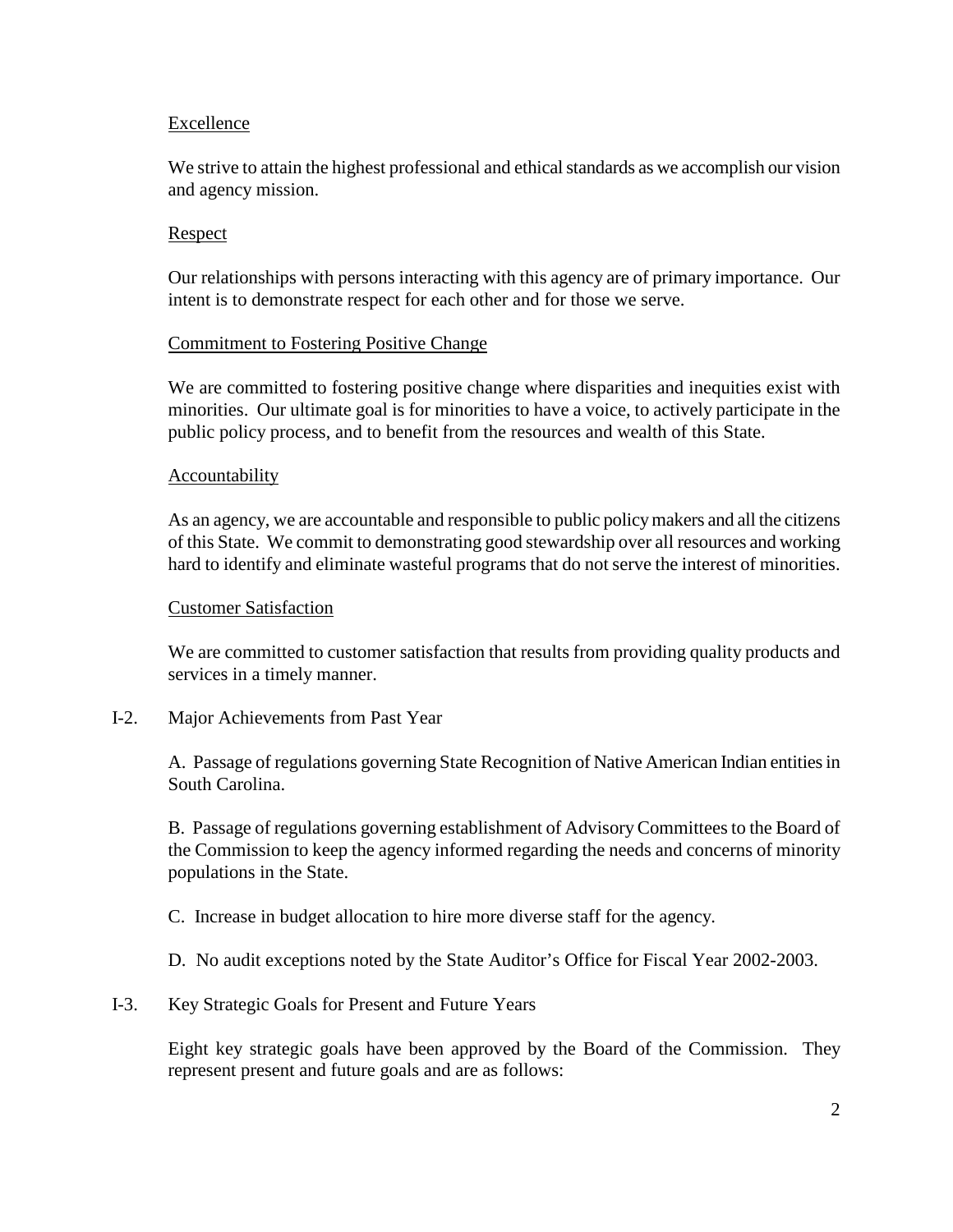## Excellence

We strive to attain the highest professional and ethical standards as we accomplish our vision and agency mission.

## Respect

Our relationships with persons interacting with this agency are of primary importance. Our intent is to demonstrate respect for each other and for those we serve.

## Commitment to Fostering Positive Change

We are committed to fostering positive change where disparities and inequities exist with minorities. Our ultimate goal is for minorities to have a voice, to actively participate in the public policy process, and to benefit from the resources and wealth of this State.

#### Accountability

As an agency, we are accountable and responsible to public policy makers and all the citizens of this State. We commit to demonstrating good stewardship over all resources and working hard to identify and eliminate wasteful programs that do not serve the interest of minorities.

#### Customer Satisfaction

We are committed to customer satisfaction that results from providing quality products and services in a timely manner.

## I-2. Major Achievements from Past Year

A. Passage of regulations governing State Recognition of Native American Indian entities in South Carolina.

B. Passage of regulations governing establishment of Advisory Committees to the Board of the Commission to keep the agency informed regarding the needs and concerns of minority populations in the State.

C. Increase in budget allocation to hire more diverse staff for the agency.

D. No audit exceptions noted by the State Auditor's Office for Fiscal Year 2002-2003.

## I-3. Key Strategic Goals for Present and Future Years

Eight key strategic goals have been approved by the Board of the Commission. They represent present and future goals and are as follows: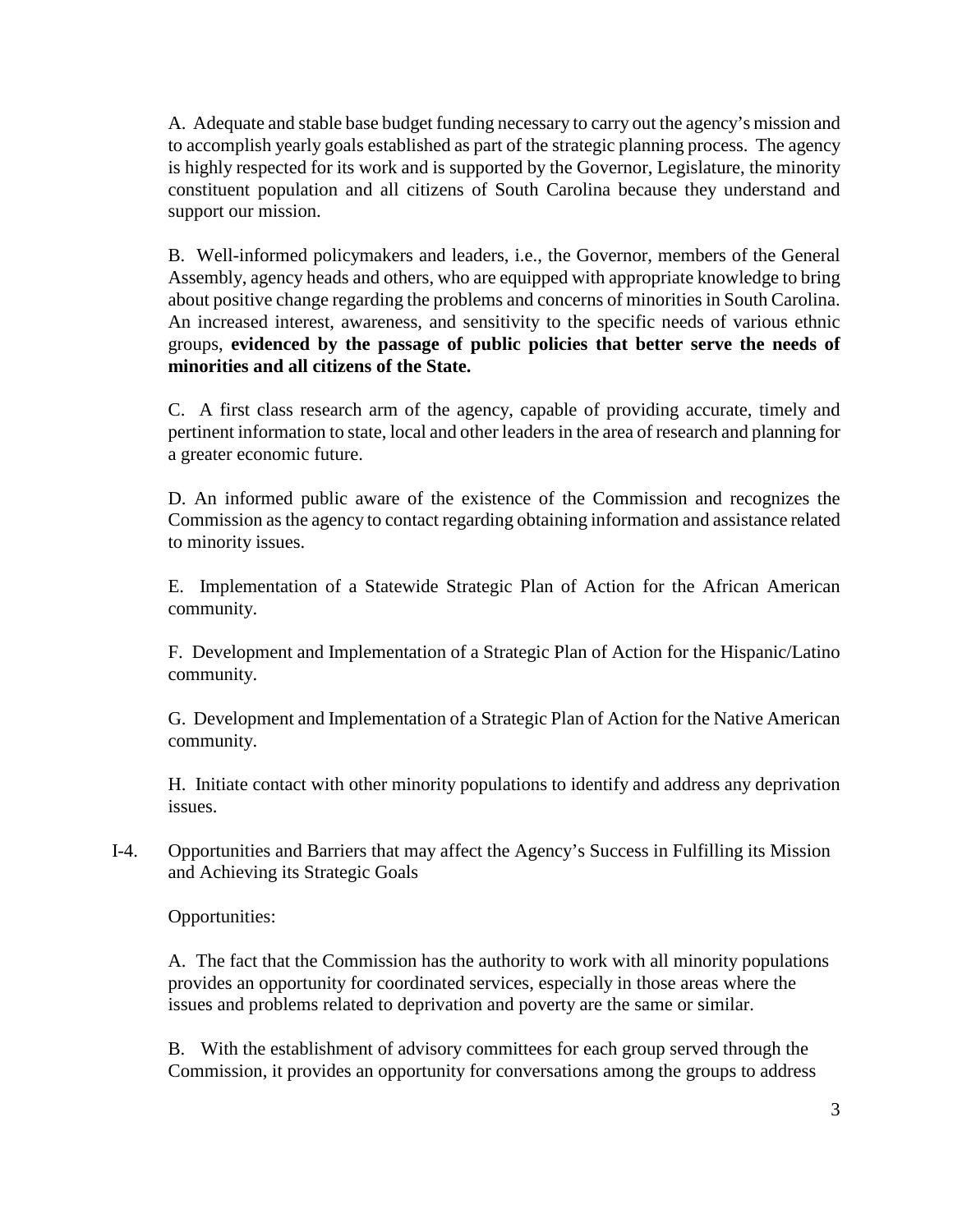A. Adequate and stable base budget funding necessary to carry out the agency's mission and to accomplish yearly goals established as part of the strategic planning process. The agency is highly respected for its work and is supported by the Governor, Legislature, the minority constituent population and all citizens of South Carolina because they understand and support our mission.

B. Well-informed policymakers and leaders, i.e., the Governor, members of the General Assembly, agency heads and others, who are equipped with appropriate knowledge to bring about positive change regarding the problems and concerns of minorities in South Carolina. An increased interest, awareness, and sensitivity to the specific needs of various ethnic groups, **evidenced by the passage of public policies that better serve the needs of minorities and all citizens of the State.**

C. A first class research arm of the agency, capable of providing accurate, timely and pertinent information to state, local and other leaders in the area of research and planning for a greater economic future.

D. An informed public aware of the existence of the Commission and recognizes the Commission as the agency to contact regarding obtaining information and assistance related to minority issues.

E. Implementation of a Statewide Strategic Plan of Action for the African American community.

F. Development and Implementation of a Strategic Plan of Action for the Hispanic/Latino community.

G. Development and Implementation of a Strategic Plan of Action for the Native American community.

H. Initiate contact with other minority populations to identify and address any deprivation issues.

I-4. Opportunities and Barriers that may affect the Agency's Success in Fulfilling its Mission and Achieving its Strategic Goals

Opportunities:

A. The fact that the Commission has the authority to work with all minority populations provides an opportunity for coordinated services, especially in those areas where the issues and problems related to deprivation and poverty are the same or similar.

B. With the establishment of advisory committees for each group served through the Commission, it provides an opportunity for conversations among the groups to address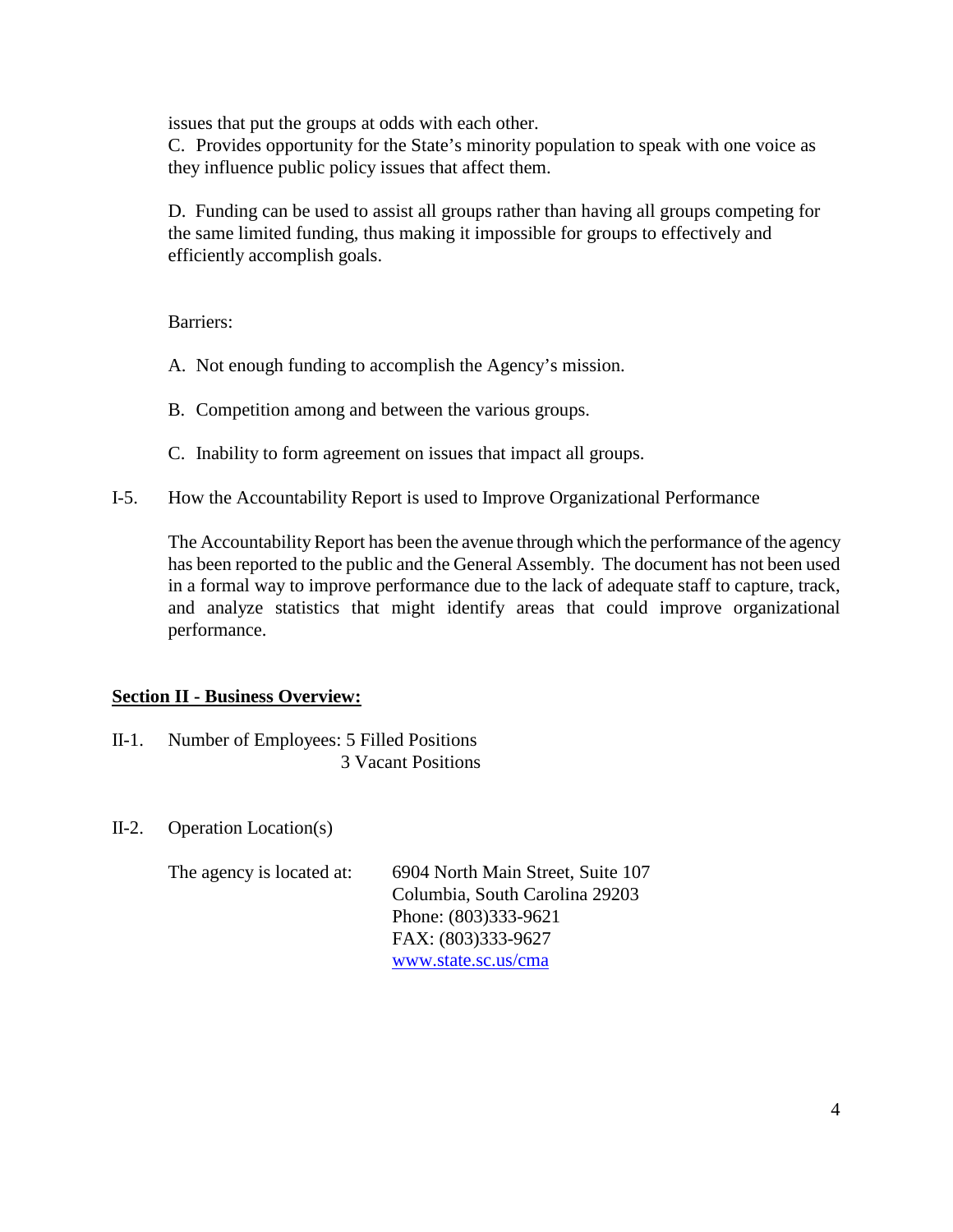issues that put the groups at odds with each other.

C. Provides opportunity for the State's minority population to speak with one voice as they influence public policy issues that affect them.

D. Funding can be used to assist all groups rather than having all groups competing for the same limited funding, thus making it impossible for groups to effectively and efficiently accomplish goals.

Barriers:

- A. Not enough funding to accomplish the Agency's mission.
- B. Competition among and between the various groups.
- C. Inability to form agreement on issues that impact all groups.
- I-5. How the Accountability Report is used to Improve Organizational Performance

The Accountability Report has been the avenue through which the performance of the agency has been reported to the public and the General Assembly. The document has not been used in a formal way to improve performance due to the lack of adequate staff to capture, track, and analyze statistics that might identify areas that could improve organizational performance.

## **Section II - Business Overview:**

- II-1. Number of Employees: 5 Filled Positions 3 Vacant Positions
- II-2. Operation Location(s)

The agency is located at: 6904 North Main Street, Suite 107 Columbia, South Carolina 29203 Phone: (803)333-9621 FAX: (803)333-9627 [www.state.sc.us/cma](http://www.state.sc.us/cma)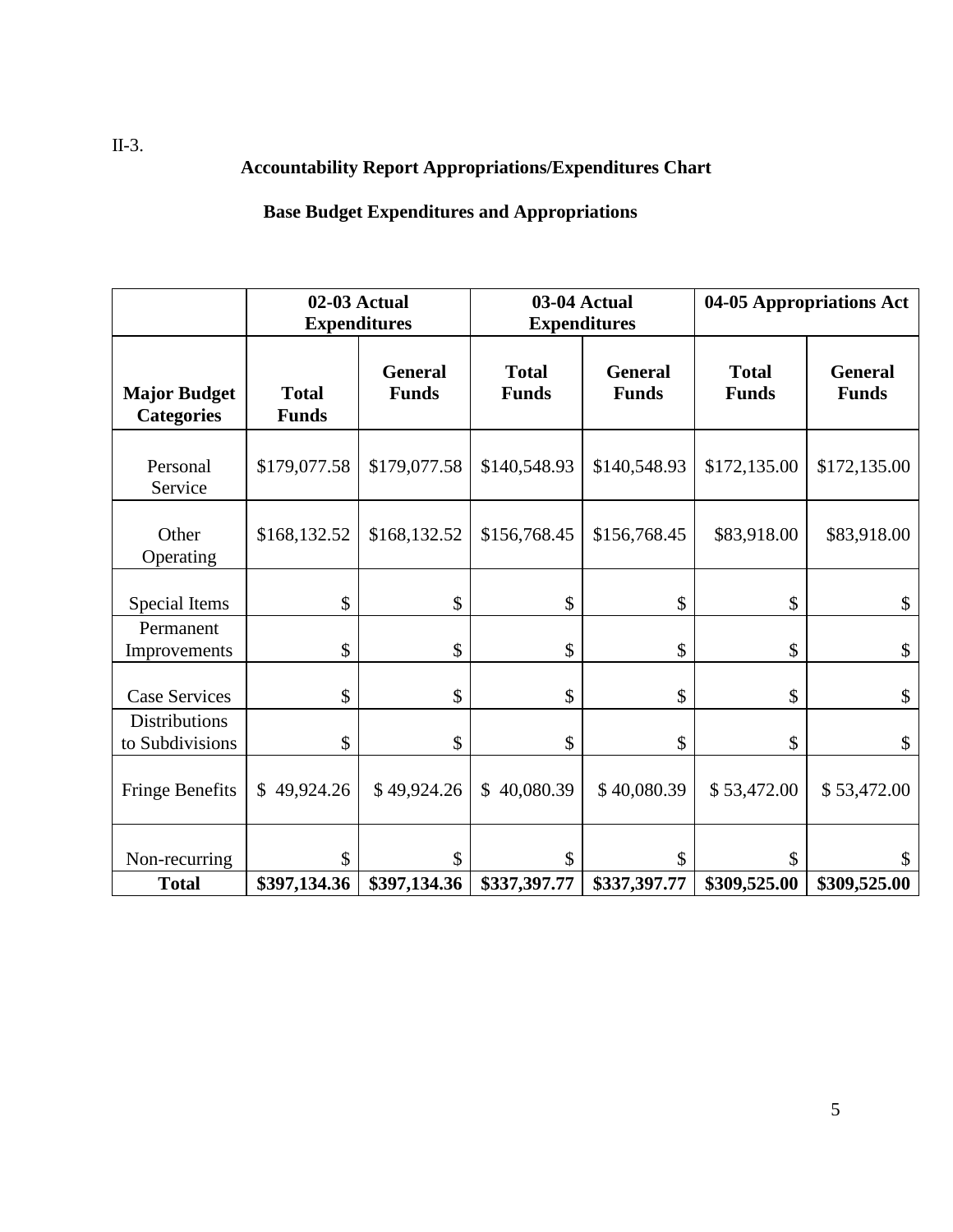## **Accountability Report Appropriations/Expenditures Chart**

## **Base Budget Expenditures and Appropriations**

|                                          |                              | 02-03 Actual<br><b>Expenditures</b> | 03-04 Actual<br><b>Expenditures</b> |                                |                              | 04-05 Appropriations Act       |  |
|------------------------------------------|------------------------------|-------------------------------------|-------------------------------------|--------------------------------|------------------------------|--------------------------------|--|
| <b>Major Budget</b><br><b>Categories</b> | <b>Total</b><br><b>Funds</b> | <b>General</b><br><b>Funds</b>      | <b>Total</b><br><b>Funds</b>        | <b>General</b><br><b>Funds</b> | <b>Total</b><br><b>Funds</b> | <b>General</b><br><b>Funds</b> |  |
| Personal<br>Service                      | \$179,077.58                 | \$179,077.58                        | \$140,548.93                        | \$140,548.93                   | \$172,135.00                 | \$172,135.00                   |  |
| Other<br>Operating                       | \$168,132.52                 | \$168,132.52                        | \$156,768.45                        | \$156,768.45                   | \$83,918.00                  | \$83,918.00                    |  |
| Special Items                            | \$                           | \$                                  | \$                                  | \$                             | \$                           | \$                             |  |
| Permanent<br>Improvements                | \$                           | \$                                  | \$                                  | \$                             | \$                           | \$                             |  |
| <b>Case Services</b>                     | \$                           | \$                                  | \$                                  | \$                             | \$                           | \$                             |  |
| Distributions<br>to Subdivisions         | \$                           | \$                                  | \$                                  | \$                             | \$                           | \$                             |  |
| <b>Fringe Benefits</b>                   | \$49,924.26                  | \$49,924.26                         | \$40,080.39                         | \$40,080.39                    | \$53,472.00                  | \$53,472.00                    |  |
| Non-recurring<br><b>Total</b>            | \$<br>\$397,134.36           | \$<br>\$397,134.36                  | \$<br>\$337,397.77                  | \$<br>\$337,397.77             | \$<br>\$309,525.00           | \$<br>\$309,525.00             |  |

II-3.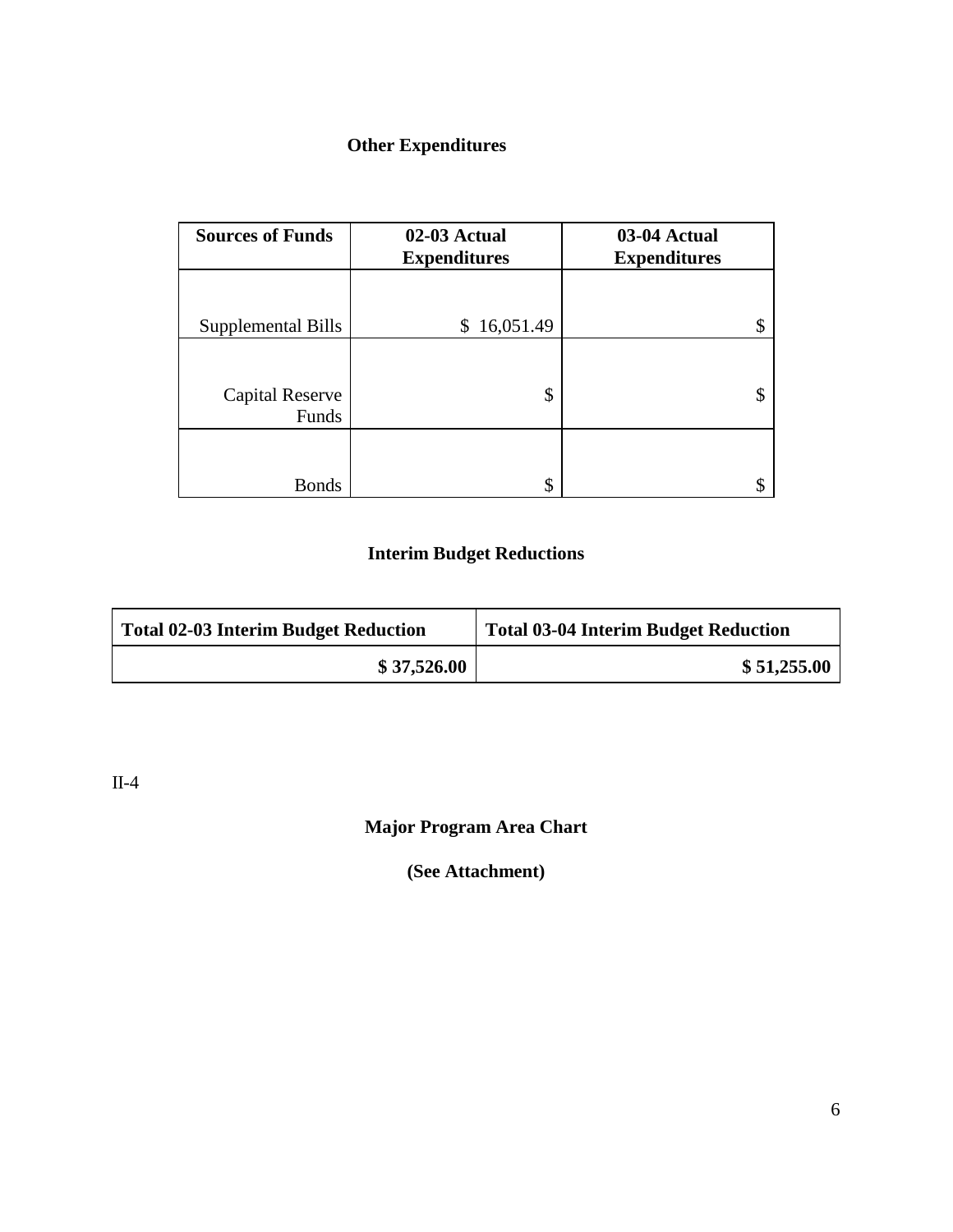## **Other Expenditures**

| <b>Sources of Funds</b> | 02-03 Actual<br><b>Expenditures</b> | 03-04 Actual<br><b>Expenditures</b> |
|-------------------------|-------------------------------------|-------------------------------------|
|                         |                                     |                                     |
| Supplemental Bills      | \$16,051.49                         |                                     |
|                         |                                     |                                     |
| Capital Reserve         | \$                                  |                                     |
| Funds                   |                                     |                                     |
|                         |                                     |                                     |
| Bonds                   | \$                                  |                                     |

## **Interim Budget Reductions**

| Total 02-03 Interim Budget Reduction | Total 03-04 Interim Budget Reduction |  |  |
|--------------------------------------|--------------------------------------|--|--|
| \$37,526.00                          | \$51,255.00                          |  |  |

II-4

**Major Program Area Chart**

**(See Attachment)**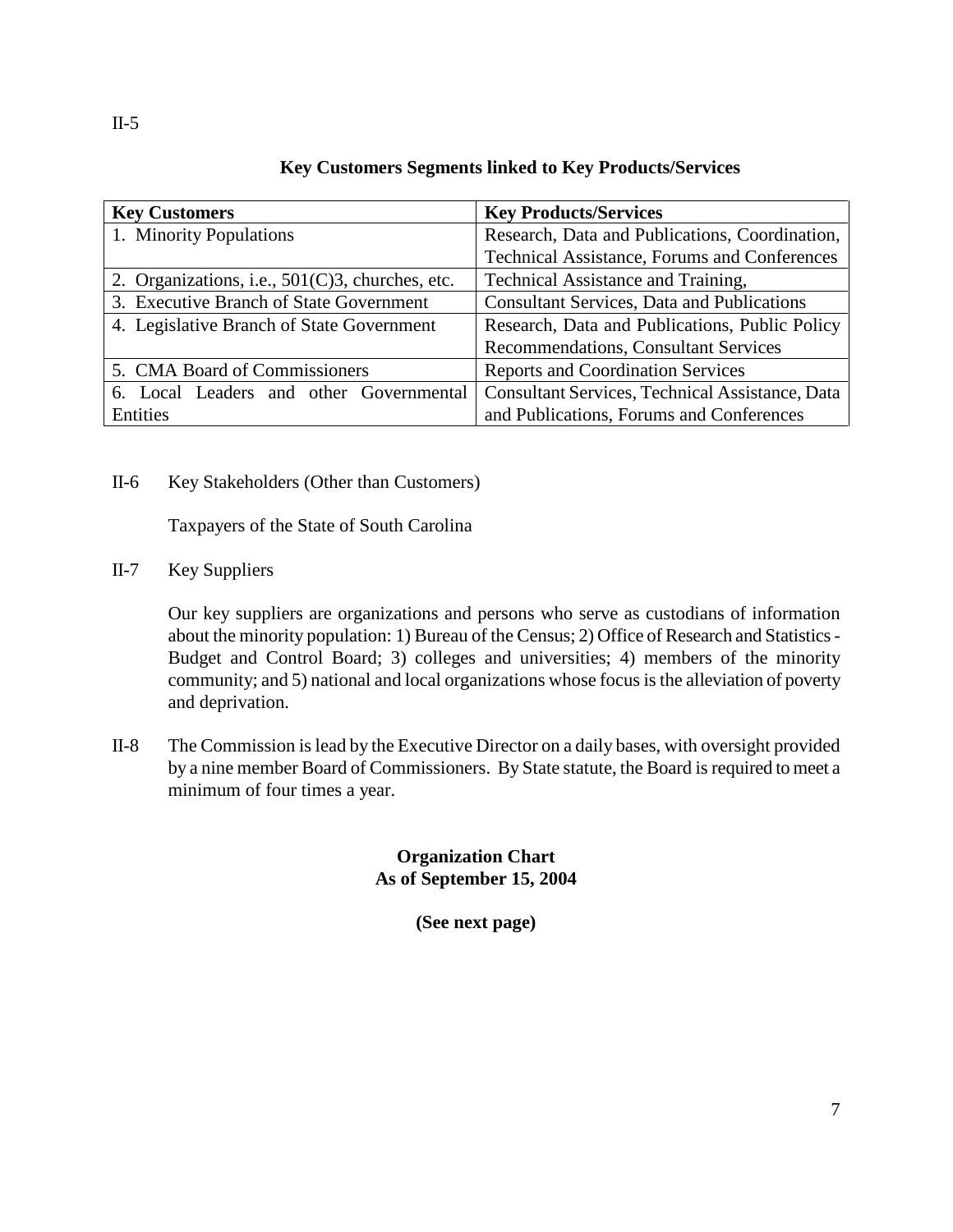|             | <b>Key Customers Segments linked to Key Products/Services</b> |
|-------------|---------------------------------------------------------------|
| y Customers | <b>Key Products/Services</b>                                  |

| <b>Key Customers</b>                               | <b>Key Products/Services</b>                           |  |  |
|----------------------------------------------------|--------------------------------------------------------|--|--|
| 1. Minority Populations                            | Research, Data and Publications, Coordination,         |  |  |
|                                                    | <b>Technical Assistance, Forums and Conferences</b>    |  |  |
| 2. Organizations, i.e., $501(C)3$ , churches, etc. | Technical Assistance and Training,                     |  |  |
| 3. Executive Branch of State Government            | <b>Consultant Services, Data and Publications</b>      |  |  |
| 4. Legislative Branch of State Government          | Research, Data and Publications, Public Policy         |  |  |
|                                                    | <b>Recommendations, Consultant Services</b>            |  |  |
| 5. CMA Board of Commissioners                      | <b>Reports and Coordination Services</b>               |  |  |
| 6. Local Leaders and other Governmental            | <b>Consultant Services, Technical Assistance, Data</b> |  |  |
| Entities                                           | and Publications, Forums and Conferences               |  |  |

II-6 Key Stakeholders (Other than Customers)

Taxpayers of the State of South Carolina

II-7 Key Suppliers

Our key suppliers are organizations and persons who serve as custodians of information about the minority population: 1) Bureau of the Census; 2) Office of Research and Statistics - Budget and Control Board; 3) colleges and universities; 4) members of the minority community; and 5) national and local organizations whose focus is the alleviation of poverty and deprivation.

II-8 The Commission is lead by the Executive Director on a daily bases, with oversight provided by a nine member Board of Commissioners. By State statute, the Board is required to meet a minimum of four times a year.

## **Organization Chart As of September 15, 2004**

**(See next page)**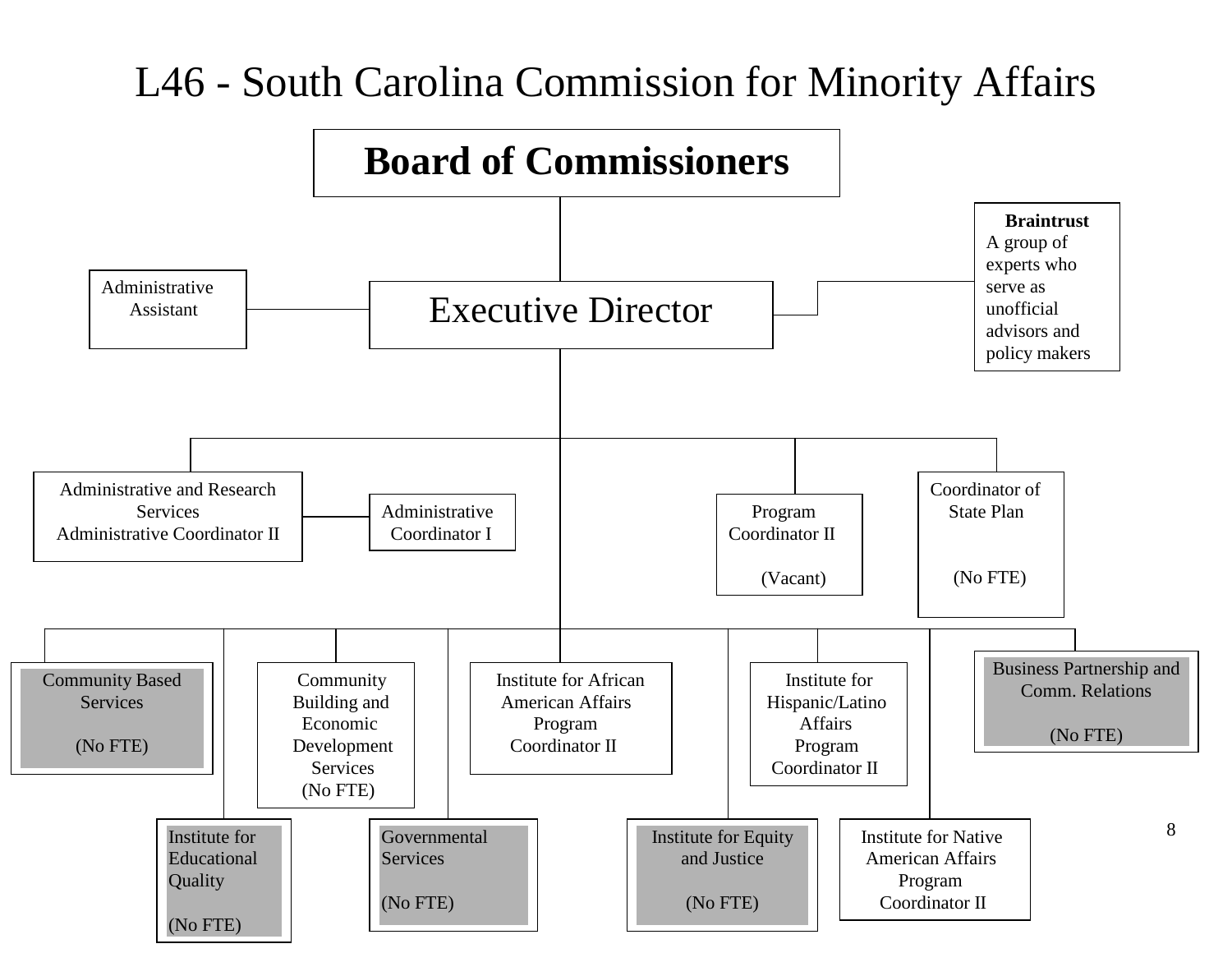# L46 - South Carolina Commission for Minority Affairs

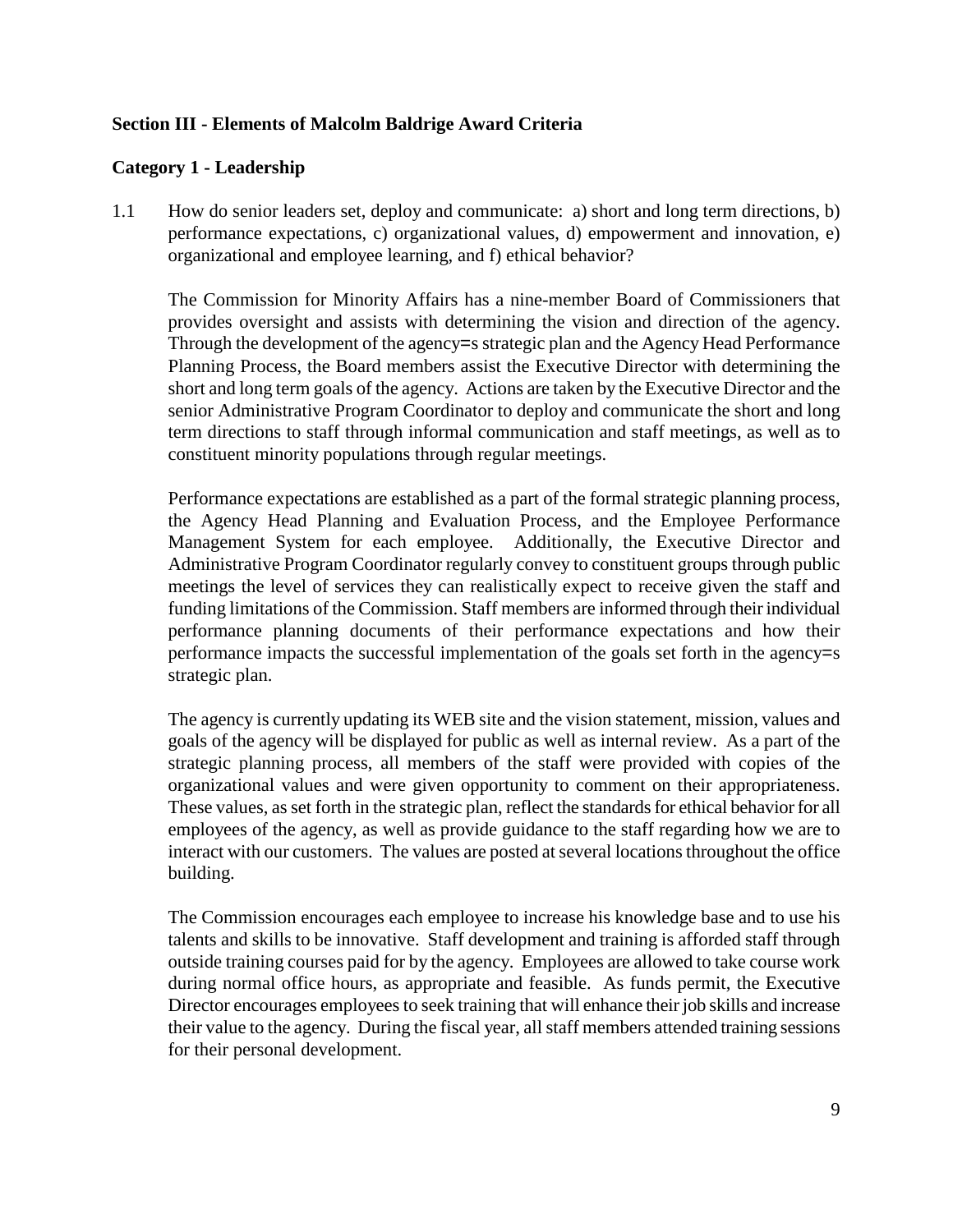## **Section III - Elements of Malcolm Baldrige Award Criteria**

## **Category 1 - Leadership**

1.1 How do senior leaders set, deploy and communicate: a) short and long term directions, b) performance expectations, c) organizational values, d) empowerment and innovation, e) organizational and employee learning, and f) ethical behavior?

The Commission for Minority Affairs has a nine-member Board of Commissioners that provides oversight and assists with determining the vision and direction of the agency. Through the development of the agency=s strategic plan and the Agency Head Performance Planning Process, the Board members assist the Executive Director with determining the short and long term goals of the agency. Actions are taken by the Executive Director and the senior Administrative Program Coordinator to deploy and communicate the short and long term directions to staff through informal communication and staff meetings, as well as to constituent minority populations through regular meetings.

Performance expectations are established as a part of the formal strategic planning process, the Agency Head Planning and Evaluation Process, and the Employee Performance Management System for each employee. Additionally, the Executive Director and Administrative Program Coordinator regularly convey to constituent groups through public meetings the level of services they can realistically expect to receive given the staff and funding limitations of the Commission. Staff members are informed through their individual performance planning documents of their performance expectations and how their performance impacts the successful implementation of the goals set forth in the agency=s strategic plan.

The agency is currently updating its WEB site and the vision statement, mission, values and goals of the agency will be displayed for public as well as internal review. As a part of the strategic planning process, all members of the staff were provided with copies of the organizational values and were given opportunity to comment on their appropriateness. These values, as set forth in the strategic plan, reflect the standards for ethical behavior for all employees of the agency, as well as provide guidance to the staff regarding how we are to interact with our customers. The values are posted at several locations throughout the office building.

The Commission encourages each employee to increase his knowledge base and to use his talents and skills to be innovative. Staff development and training is afforded staff through outside training courses paid for by the agency. Employees are allowed to take course work during normal office hours, as appropriate and feasible. As funds permit, the Executive Director encourages employees to seek training that will enhance their job skills and increase their value to the agency. During the fiscal year, all staff members attended training sessions for their personal development.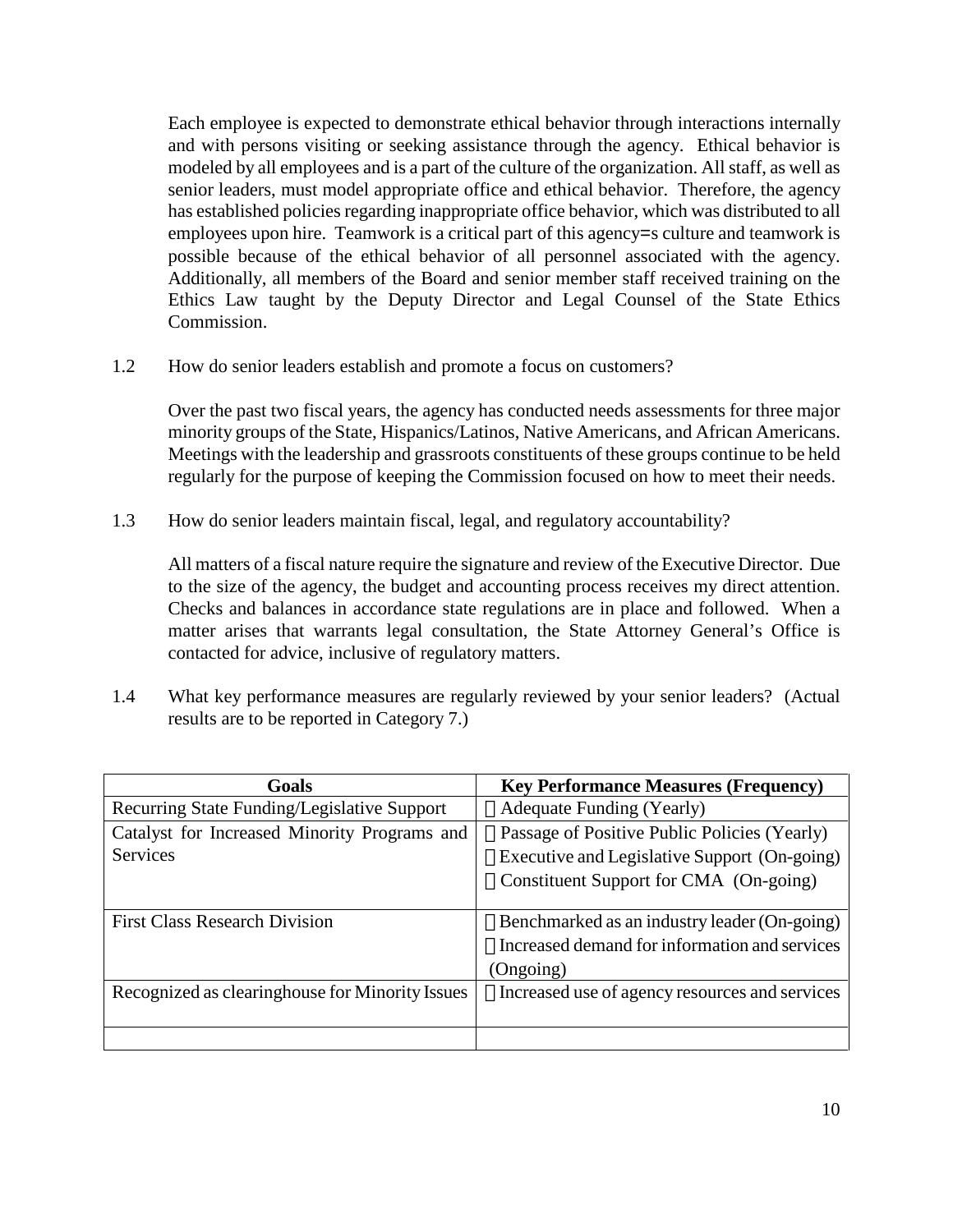Each employee is expected to demonstrate ethical behavior through interactions internally and with persons visiting or seeking assistance through the agency. Ethical behavior is modeled by all employees and is a part of the culture of the organization. All staff, as well as senior leaders, must model appropriate office and ethical behavior. Therefore, the agency has established policies regarding inappropriate office behavior, which was distributed to all employees upon hire. Teamwork is a critical part of this agency=s culture and teamwork is possible because of the ethical behavior of all personnel associated with the agency. Additionally, all members of the Board and senior member staff received training on the Ethics Law taught by the Deputy Director and Legal Counsel of the State Ethics Commission.

1.2 How do senior leaders establish and promote a focus on customers?

Over the past two fiscal years, the agency has conducted needs assessments for three major minority groups of the State, Hispanics/Latinos, Native Americans, and African Americans. Meetings with the leadership and grassroots constituents of these groups continue to be held regularly for the purpose of keeping the Commission focused on how to meet their needs.

1.3 How do senior leaders maintain fiscal, legal, and regulatory accountability?

All matters of a fiscal nature require the signature and review of the Executive Director. Due to the size of the agency, the budget and accounting process receives my direct attention. Checks and balances in accordance state regulations are in place and followed. When a matter arises that warrants legal consultation, the State Attorney General's Office is contacted for advice, inclusive of regulatory matters.

1.4 What key performance measures are regularly reviewed by your senior leaders? (Actual results are to be reported in Category 7.)

| Goals                                           | <b>Key Performance Measures (Frequency)</b>           |
|-------------------------------------------------|-------------------------------------------------------|
| Recurring State Funding/Legislative Support     | $\Box$ Adequate Funding (Yearly)                      |
| Catalyst for Increased Minority Programs and    | □ Passage of Positive Public Policies (Yearly)        |
| <b>Services</b>                                 | □ Executive and Legislative Support (On-going)        |
|                                                 | □ Constituent Support for CMA (On-going)              |
|                                                 |                                                       |
| <b>First Class Research Division</b>            | $\Box$ Benchmarked as an industry leader (On-going)   |
|                                                 | $\Box$ Increased demand for information and services  |
|                                                 | (Ongoing)                                             |
| Recognized as clearinghouse for Minority Issues | $\Box$ Increased use of agency resources and services |
|                                                 |                                                       |
|                                                 |                                                       |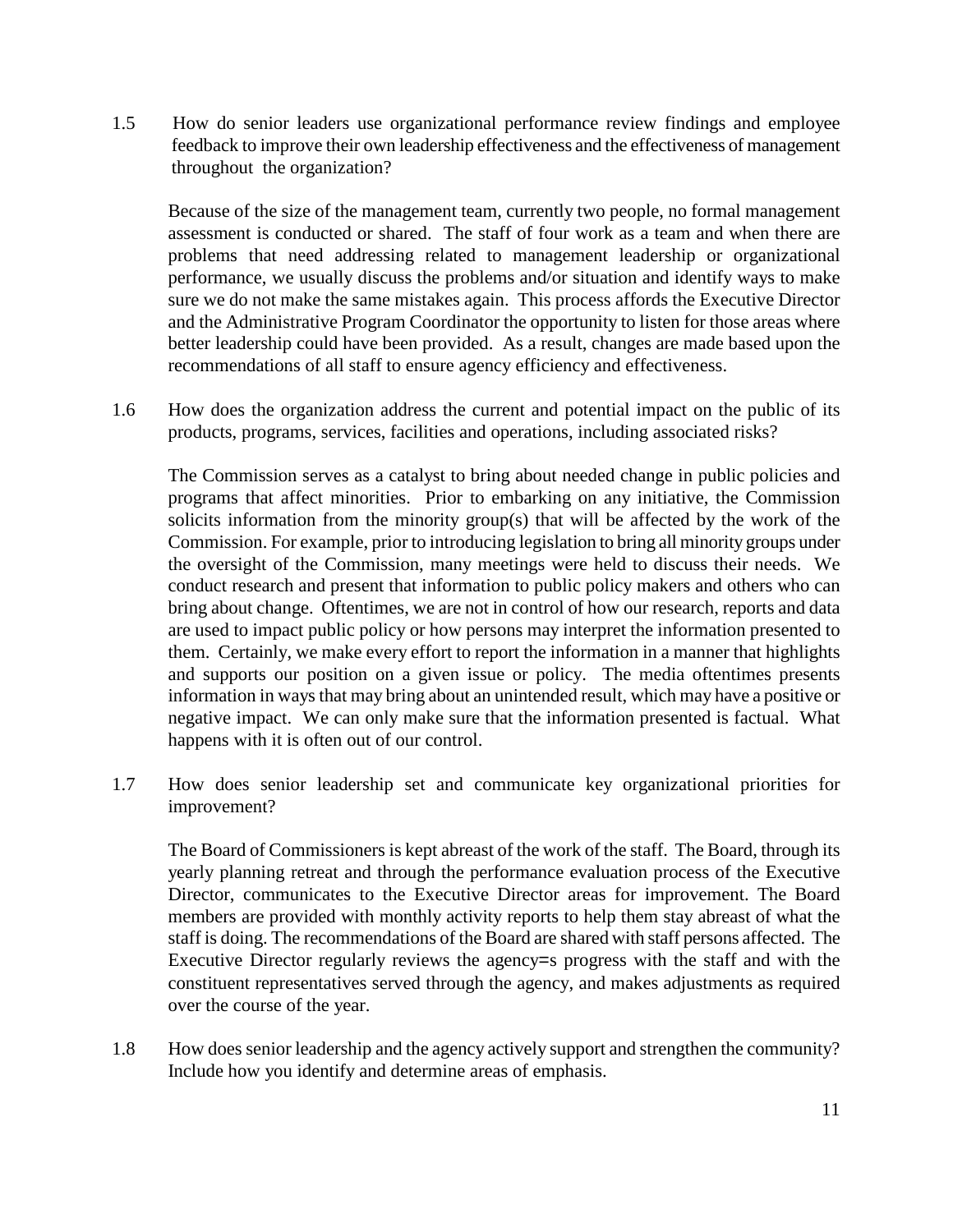1.5 How do senior leaders use organizational performance review findings and employee feedback to improve their own leadership effectiveness and the effectiveness of management throughout the organization?

Because of the size of the management team, currently two people, no formal management assessment is conducted or shared. The staff of four work as a team and when there are problems that need addressing related to management leadership or organizational performance, we usually discuss the problems and/or situation and identify ways to make sure we do not make the same mistakes again. This process affords the Executive Director and the Administrative Program Coordinator the opportunity to listen for those areas where better leadership could have been provided. As a result, changes are made based upon the recommendations of all staff to ensure agency efficiency and effectiveness.

1.6 How does the organization address the current and potential impact on the public of its products, programs, services, facilities and operations, including associated risks?

The Commission serves as a catalyst to bring about needed change in public policies and programs that affect minorities. Prior to embarking on any initiative, the Commission solicits information from the minority group(s) that will be affected by the work of the Commission. For example, prior to introducing legislation to bring all minority groups under the oversight of the Commission, many meetings were held to discuss their needs. We conduct research and present that information to public policy makers and others who can bring about change. Oftentimes, we are not in control of how our research, reports and data are used to impact public policy or how persons may interpret the information presented to them. Certainly, we make every effort to report the information in a manner that highlights and supports our position on a given issue or policy. The media oftentimes presents information in ways that may bring about an unintended result, which may have a positive or negative impact. We can only make sure that the information presented is factual. What happens with it is often out of our control.

1.7 How does senior leadership set and communicate key organizational priorities for improvement?

The Board of Commissioners is kept abreast of the work of the staff. The Board, through its yearly planning retreat and through the performance evaluation process of the Executive Director, communicates to the Executive Director areas for improvement. The Board members are provided with monthly activity reports to help them stay abreast of what the staff is doing. The recommendations of the Board are shared with staff persons affected. The Executive Director regularly reviews the agency=s progress with the staff and with the constituent representatives served through the agency, and makes adjustments as required over the course of the year.

1.8 How does senior leadership and the agency actively support and strengthen the community? Include how you identify and determine areas of emphasis.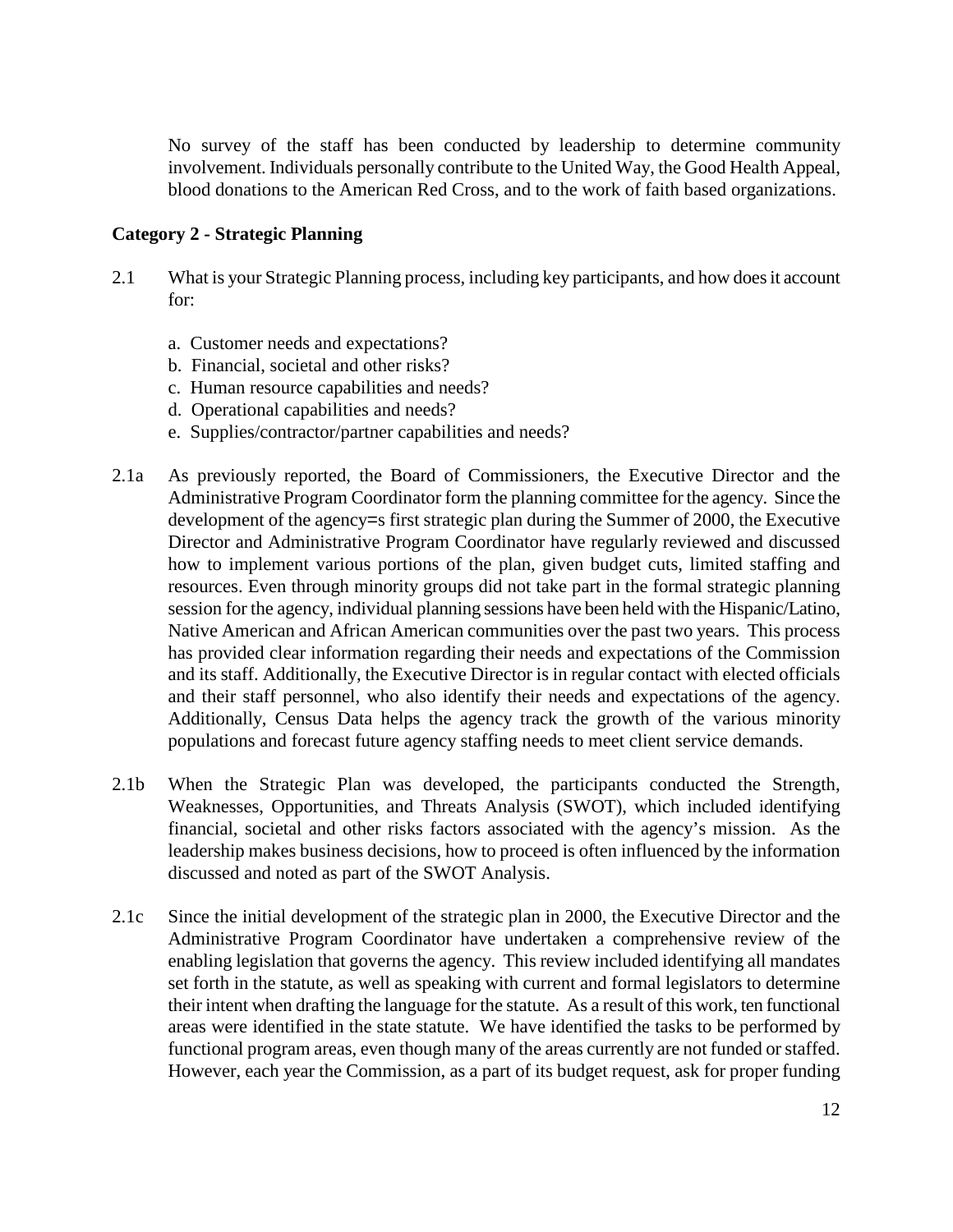No survey of the staff has been conducted by leadership to determine community involvement. Individuals personally contribute to the United Way, the Good Health Appeal, blood donations to the American Red Cross, and to the work of faith based organizations.

## **Category 2 - Strategic Planning**

- 2.1 What is your Strategic Planning process, including key participants, and how does it account for:
	- a. Customer needs and expectations?
	- b. Financial, societal and other risks?
	- c. Human resource capabilities and needs?
	- d. Operational capabilities and needs?
	- e. Supplies/contractor/partner capabilities and needs?
- 2.1a As previously reported, the Board of Commissioners, the Executive Director and the Administrative Program Coordinator form the planning committee for the agency. Since the development of the agency=s first strategic plan during the Summer of 2000, the Executive Director and Administrative Program Coordinator have regularly reviewed and discussed how to implement various portions of the plan, given budget cuts, limited staffing and resources. Even through minority groups did not take part in the formal strategic planning session for the agency, individual planning sessions have been held with the Hispanic/Latino, Native American and African American communities over the past two years. This process has provided clear information regarding their needs and expectations of the Commission and its staff. Additionally, the Executive Director is in regular contact with elected officials and their staff personnel, who also identify their needs and expectations of the agency. Additionally, Census Data helps the agency track the growth of the various minority populations and forecast future agency staffing needs to meet client service demands.
- 2.1b When the Strategic Plan was developed, the participants conducted the Strength, Weaknesses, Opportunities, and Threats Analysis (SWOT), which included identifying financial, societal and other risks factors associated with the agency's mission. As the leadership makes business decisions, how to proceed is often influenced by the information discussed and noted as part of the SWOT Analysis.
- 2.1c Since the initial development of the strategic plan in 2000, the Executive Director and the Administrative Program Coordinator have undertaken a comprehensive review of the enabling legislation that governs the agency. This review included identifying all mandates set forth in the statute, as well as speaking with current and formal legislators to determine their intent when drafting the language for the statute. As a result of this work, ten functional areas were identified in the state statute. We have identified the tasks to be performed by functional program areas, even though many of the areas currently are not funded or staffed. However, each year the Commission, as a part of its budget request, ask for proper funding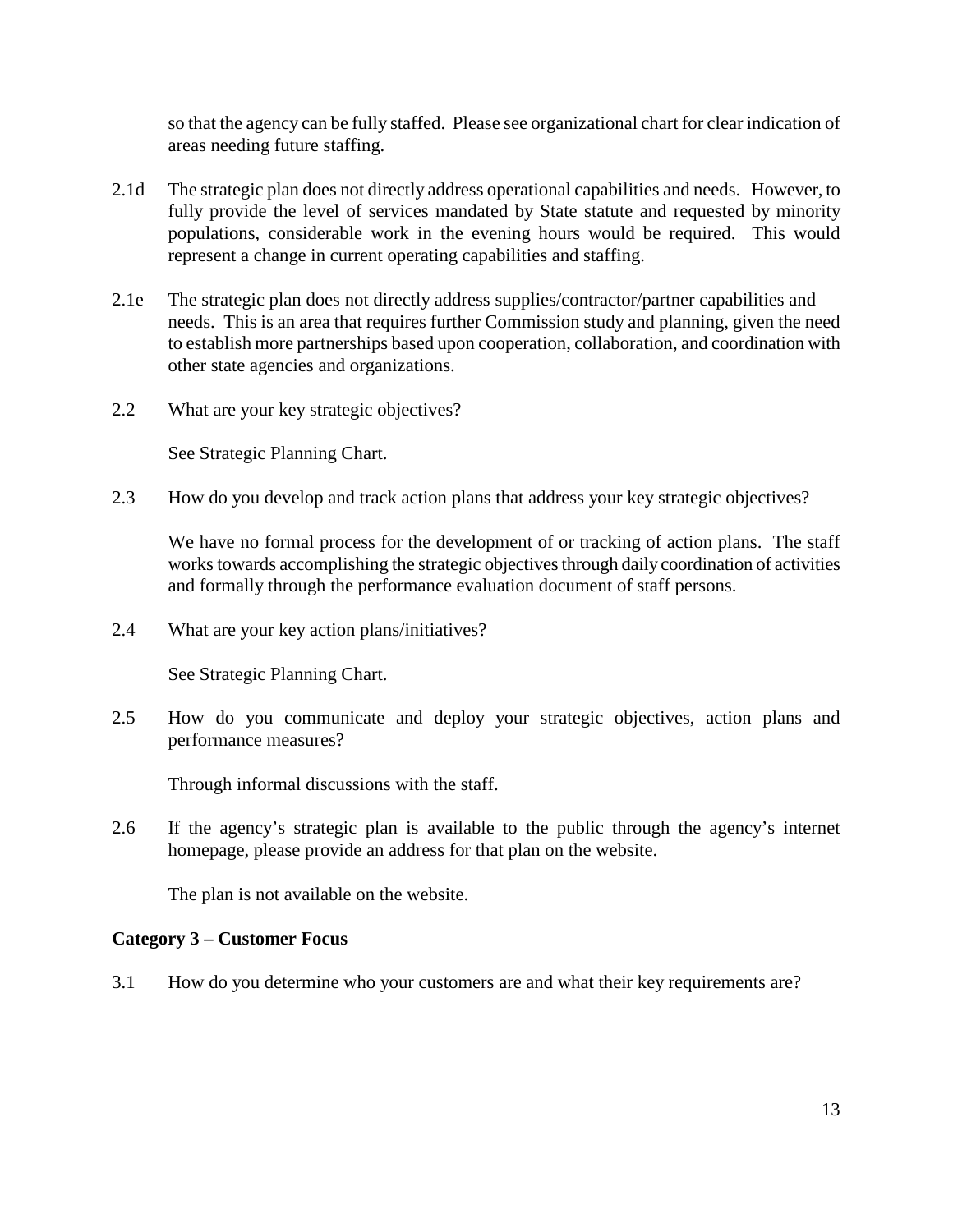so that the agency can be fully staffed. Please see organizational chart for clear indication of areas needing future staffing.

- 2.1d The strategic plan does not directly address operational capabilities and needs. However, to fully provide the level of services mandated by State statute and requested by minority populations, considerable work in the evening hours would be required. This would represent a change in current operating capabilities and staffing.
- 2.1e The strategic plan does not directly address supplies/contractor/partner capabilities and needs. This is an area that requires further Commission study and planning, given the need to establish more partnerships based upon cooperation, collaboration, and coordination with other state agencies and organizations.
- 2.2 What are your key strategic objectives?

See Strategic Planning Chart.

2.3 How do you develop and track action plans that address your key strategic objectives?

We have no formal process for the development of or tracking of action plans. The staff works towards accomplishing the strategic objectives through daily coordination of activities and formally through the performance evaluation document of staff persons.

2.4 What are your key action plans/initiatives?

See Strategic Planning Chart.

2.5 How do you communicate and deploy your strategic objectives, action plans and performance measures?

Through informal discussions with the staff.

2.6 If the agency's strategic plan is available to the public through the agency's internet homepage, please provide an address for that plan on the website.

The plan is not available on the website.

## **Category 3 – Customer Focus**

3.1 How do you determine who your customers are and what their key requirements are?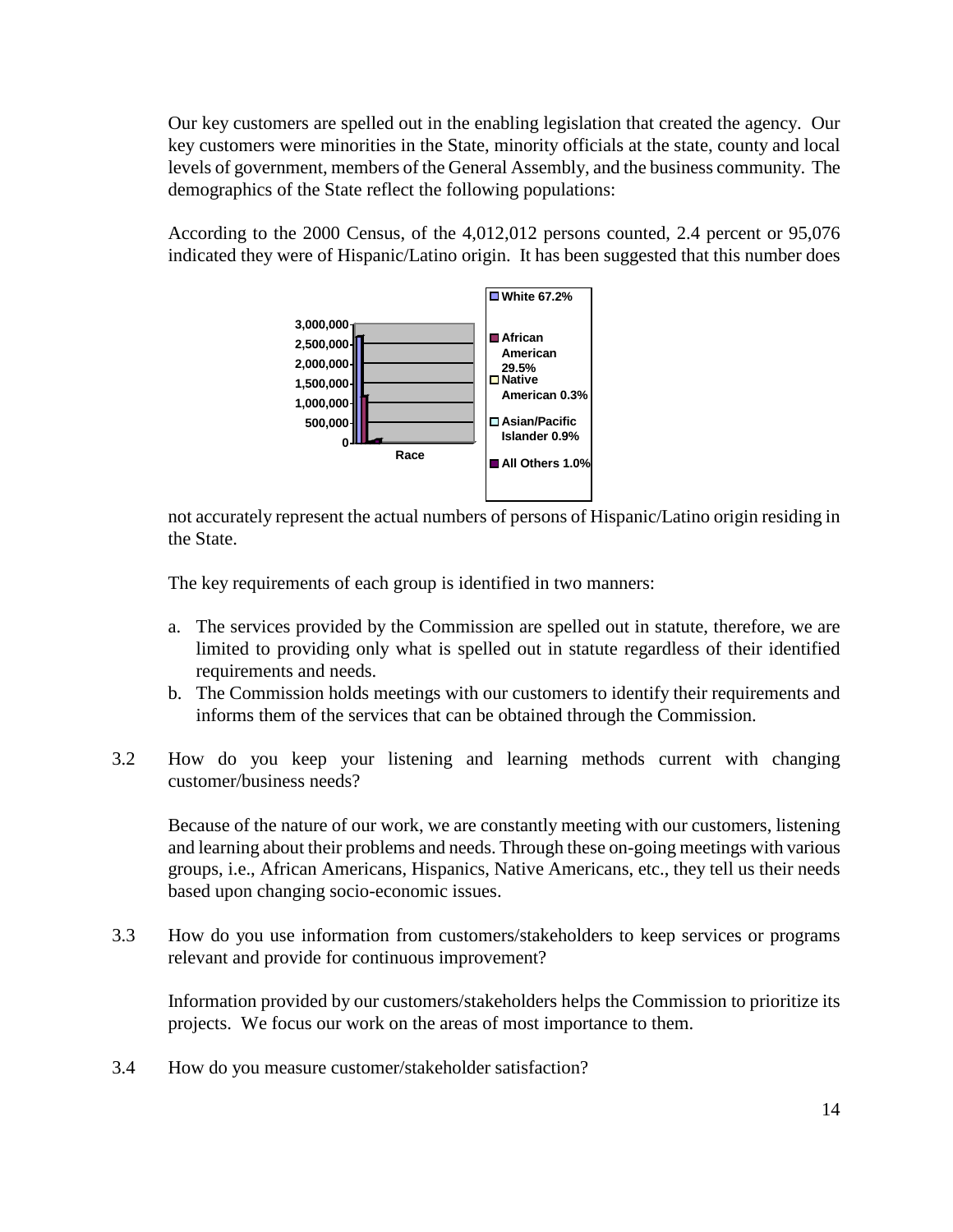Our key customers are spelled out in the enabling legislation that created the agency. Our key customers were minorities in the State, minority officials at the state, county and local levels of government, members of the General Assembly, and the business community. The demographics of the State reflect the following populations:

According to the 2000 Census, of the 4,012,012 persons counted, 2.4 percent or 95,076 indicated they were of Hispanic/Latino origin. It has been suggested that this number does



not accurately represent the actual numbers of persons of Hispanic/Latino origin residing in the State.

The key requirements of each group is identified in two manners:

- a. The services provided by the Commission are spelled out in statute, therefore, we are limited to providing only what is spelled out in statute regardless of their identified requirements and needs.
- b. The Commission holds meetings with our customers to identify their requirements and informs them of the services that can be obtained through the Commission.
- 3.2 How do you keep your listening and learning methods current with changing customer/business needs?

Because of the nature of our work, we are constantly meeting with our customers, listening and learning about their problems and needs. Through these on-going meetings with various groups, i.e., African Americans, Hispanics, Native Americans, etc., they tell us their needs based upon changing socio-economic issues.

3.3 How do you use information from customers/stakeholders to keep services or programs relevant and provide for continuous improvement?

Information provided by our customers/stakeholders helps the Commission to prioritize its projects. We focus our work on the areas of most importance to them.

3.4 How do you measure customer/stakeholder satisfaction?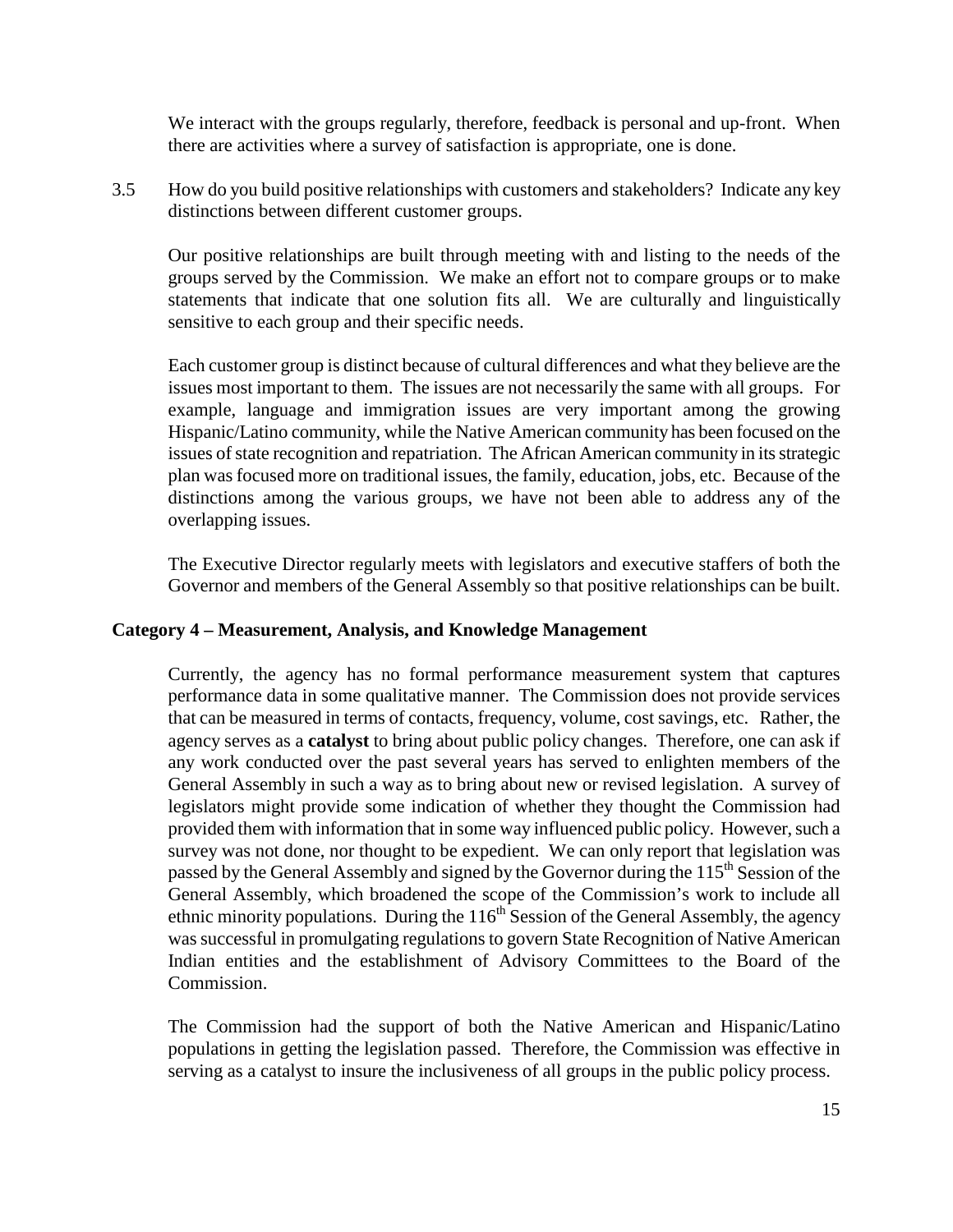We interact with the groups regularly, therefore, feedback is personal and up-front. When there are activities where a survey of satisfaction is appropriate, one is done.

3.5 How do you build positive relationships with customers and stakeholders? Indicate any key distinctions between different customer groups.

Our positive relationships are built through meeting with and listing to the needs of the groups served by the Commission. We make an effort not to compare groups or to make statements that indicate that one solution fits all. We are culturally and linguistically sensitive to each group and their specific needs.

Each customer group is distinct because of cultural differences and what they believe are the issues most important to them. The issues are not necessarily the same with all groups. For example, language and immigration issues are very important among the growing Hispanic/Latino community, while the Native American community has been focused on the issues of state recognition and repatriation. The African American community in its strategic plan was focused more on traditional issues, the family, education, jobs, etc. Because of the distinctions among the various groups, we have not been able to address any of the overlapping issues.

The Executive Director regularly meets with legislators and executive staffers of both the Governor and members of the General Assembly so that positive relationships can be built.

## **Category 4 – Measurement, Analysis, and Knowledge Management**

Currently, the agency has no formal performance measurement system that captures performance data in some qualitative manner. The Commission does not provide services that can be measured in terms of contacts, frequency, volume, cost savings, etc. Rather, the agency serves as a **catalyst** to bring about public policy changes. Therefore, one can ask if any work conducted over the past several years has served to enlighten members of the General Assembly in such a way as to bring about new or revised legislation. A survey of legislators might provide some indication of whether they thought the Commission had provided them with information that in some way influenced public policy. However, such a survey was not done, nor thought to be expedient. We can only report that legislation was passed by the General Assembly and signed by the Governor during the  $115<sup>th</sup>$  Session of the General Assembly, which broadened the scope of the Commission's work to include all ethnic minority populations. During the  $116<sup>th</sup>$  Session of the General Assembly, the agency was successful in promulgating regulations to govern State Recognition of Native American Indian entities and the establishment of Advisory Committees to the Board of the Commission.

The Commission had the support of both the Native American and Hispanic/Latino populations in getting the legislation passed. Therefore, the Commission was effective in serving as a catalyst to insure the inclusiveness of all groups in the public policy process.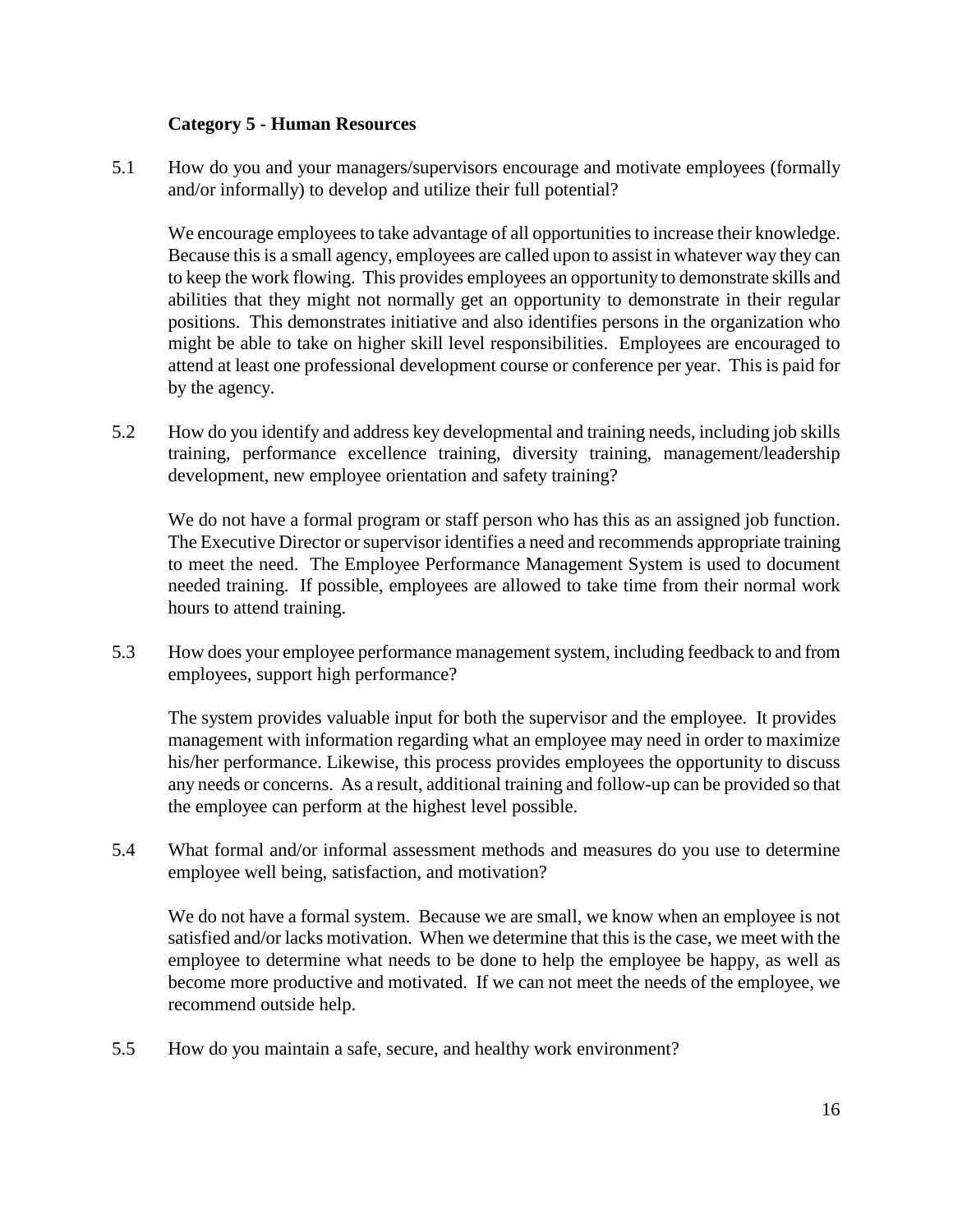## **Category 5 - Human Resources**

5.1 How do you and your managers/supervisors encourage and motivate employees (formally and/or informally) to develop and utilize their full potential?

We encourage employees to take advantage of all opportunities to increase their knowledge. Because this is a small agency, employees are called upon to assist in whatever way they can to keep the work flowing. This provides employees an opportunity to demonstrate skills and abilities that they might not normally get an opportunity to demonstrate in their regular positions. This demonstrates initiative and also identifies persons in the organization who might be able to take on higher skill level responsibilities. Employees are encouraged to attend at least one professional development course or conference per year. This is paid for by the agency.

5.2 How do you identify and address key developmental and training needs, including job skills training, performance excellence training, diversity training, management/leadership development, new employee orientation and safety training?

We do not have a formal program or staff person who has this as an assigned job function. The Executive Director or supervisor identifies a need and recommends appropriate training to meet the need. The Employee Performance Management System is used to document needed training. If possible, employees are allowed to take time from their normal work hours to attend training.

5.3 How does your employee performance management system, including feedback to and from employees, support high performance?

The system provides valuable input for both the supervisor and the employee. It provides management with information regarding what an employee may need in order to maximize his/her performance. Likewise, this process provides employees the opportunity to discuss any needs or concerns. As a result, additional training and follow-up can be provided so that the employee can perform at the highest level possible.

5.4 What formal and/or informal assessment methods and measures do you use to determine employee well being, satisfaction, and motivation?

We do not have a formal system. Because we are small, we know when an employee is not satisfied and/or lacks motivation. When we determine that this is the case, we meet with the employee to determine what needs to be done to help the employee be happy, as well as become more productive and motivated. If we can not meet the needs of the employee, we recommend outside help.

5.5 How do you maintain a safe, secure, and healthy work environment?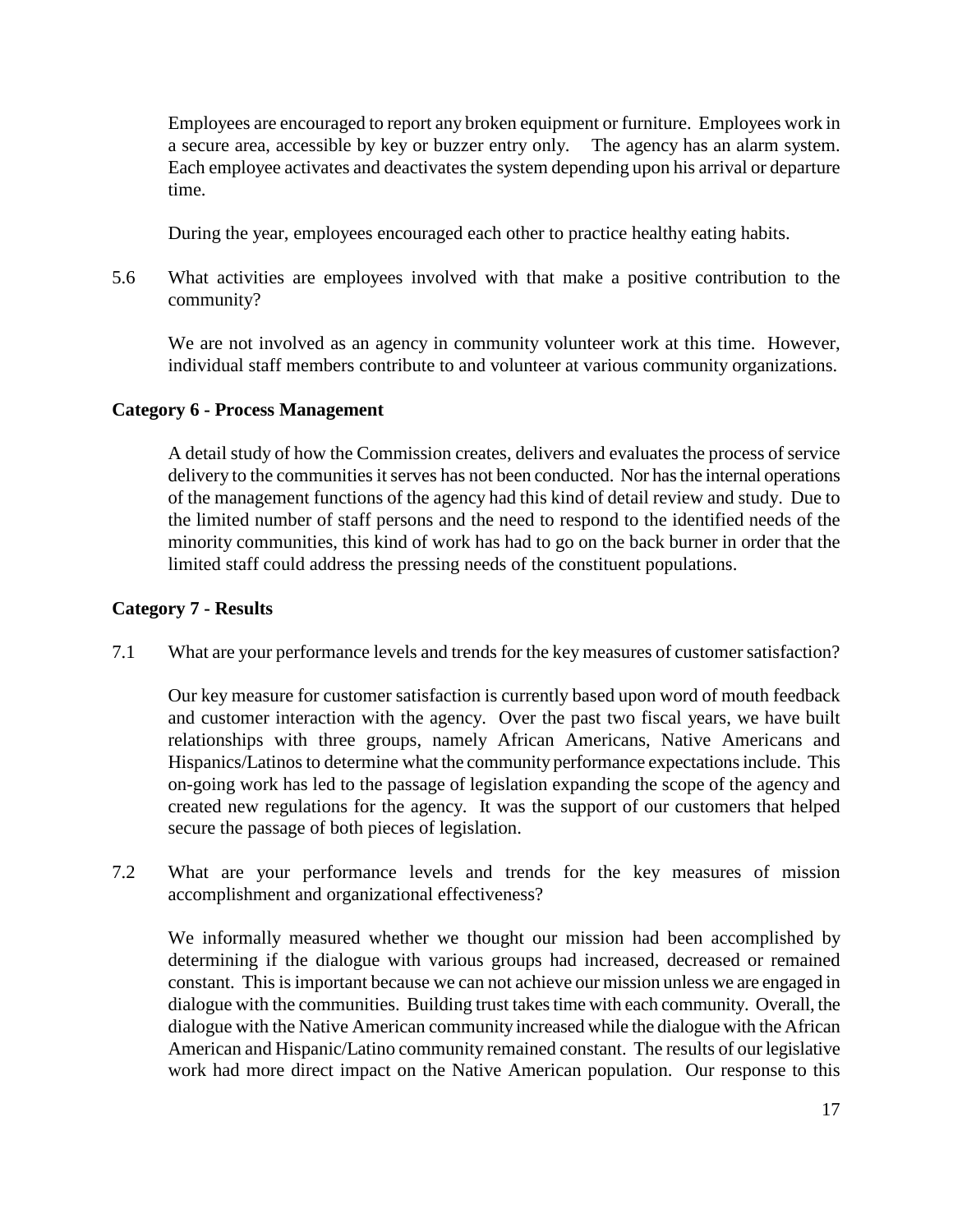Employees are encouraged to report any broken equipment or furniture. Employees work in a secure area, accessible by key or buzzer entry only. The agency has an alarm system. Each employee activates and deactivates the system depending upon his arrival or departure time.

During the year, employees encouraged each other to practice healthy eating habits.

5.6 What activities are employees involved with that make a positive contribution to the community?

We are not involved as an agency in community volunteer work at this time. However, individual staff members contribute to and volunteer at various community organizations.

## **Category 6 - Process Management**

A detail study of how the Commission creates, delivers and evaluates the process of service delivery to the communities it serves has not been conducted. Nor has the internal operations of the management functions of the agency had this kind of detail review and study. Due to the limited number of staff persons and the need to respond to the identified needs of the minority communities, this kind of work has had to go on the back burner in order that the limited staff could address the pressing needs of the constituent populations.

## **Category 7 - Results**

7.1 What are your performance levels and trends for the key measures of customer satisfaction?

Our key measure for customer satisfaction is currently based upon word of mouth feedback and customer interaction with the agency. Over the past two fiscal years, we have built relationships with three groups, namely African Americans, Native Americans and Hispanics/Latinos to determine what the community performance expectations include. This on-going work has led to the passage of legislation expanding the scope of the agency and created new regulations for the agency. It was the support of our customers that helped secure the passage of both pieces of legislation.

7.2 What are your performance levels and trends for the key measures of mission accomplishment and organizational effectiveness?

We informally measured whether we thought our mission had been accomplished by determining if the dialogue with various groups had increased, decreased or remained constant. This is important because we can not achieve our mission unless we are engaged in dialogue with the communities. Building trust takes time with each community. Overall, the dialogue with the Native American community increased while the dialogue with the African American and Hispanic/Latino community remained constant. The results of our legislative work had more direct impact on the Native American population. Our response to this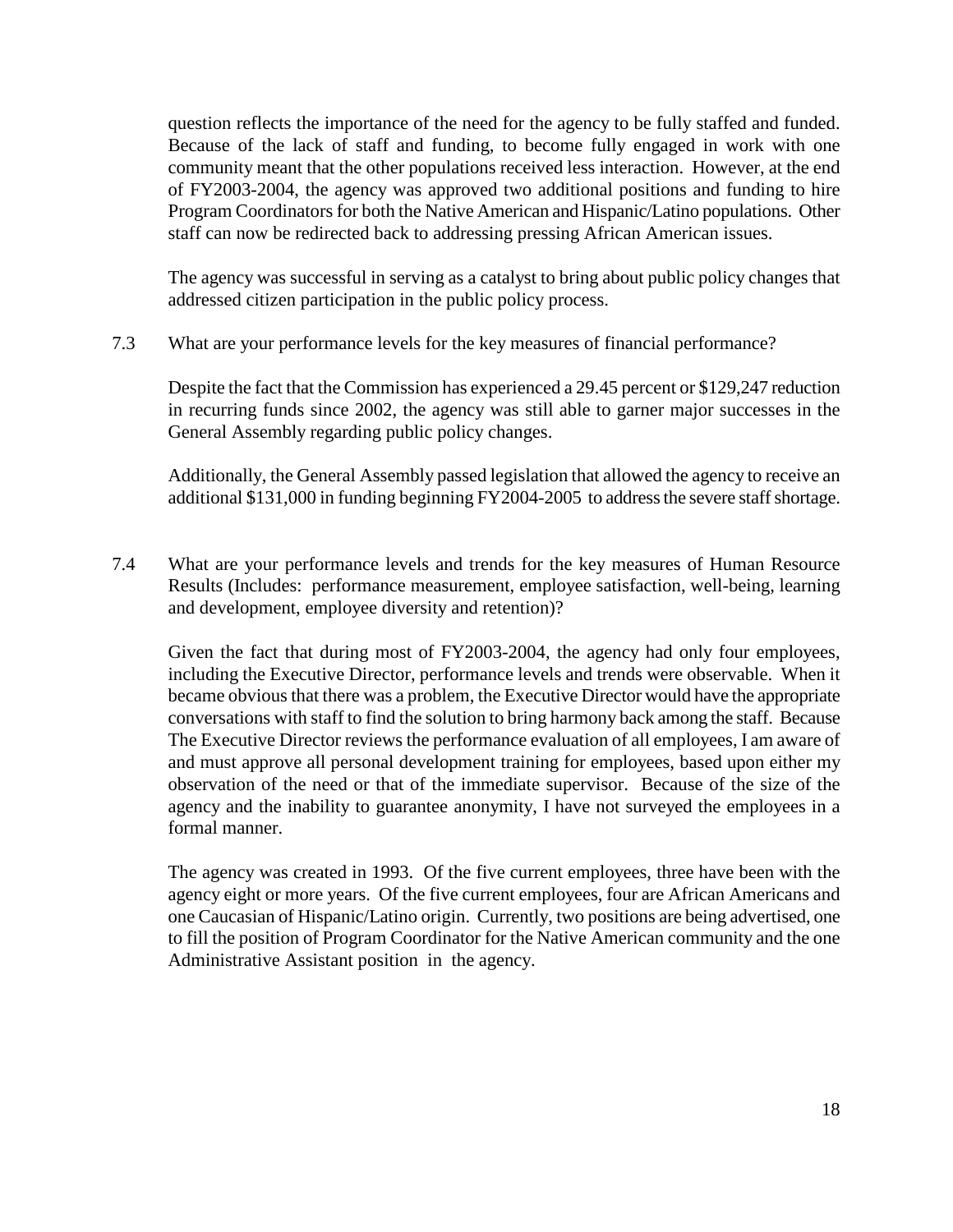question reflects the importance of the need for the agency to be fully staffed and funded. Because of the lack of staff and funding, to become fully engaged in work with one community meant that the other populations received less interaction. However, at the end of FY2003-2004, the agency was approved two additional positions and funding to hire Program Coordinators for both the Native American and Hispanic/Latino populations. Other staff can now be redirected back to addressing pressing African American issues.

The agency was successful in serving as a catalyst to bring about public policy changes that addressed citizen participation in the public policy process.

7.3 What are your performance levels for the key measures of financial performance?

Despite the fact that the Commission has experienced a 29.45 percent or \$129,247 reduction in recurring funds since 2002, the agency was still able to garner major successes in the General Assembly regarding public policy changes.

Additionally, the General Assembly passed legislation that allowed the agency to receive an additional \$131,000 in funding beginning FY2004-2005 to address the severe staff shortage.

7.4 What are your performance levels and trends for the key measures of Human Resource Results (Includes: performance measurement, employee satisfaction, well-being, learning and development, employee diversity and retention)?

Given the fact that during most of FY2003-2004, the agency had only four employees, including the Executive Director, performance levels and trends were observable. When it became obvious that there was a problem, the Executive Director would have the appropriate conversations with staff to find the solution to bring harmony back among the staff. Because The Executive Director reviews the performance evaluation of all employees, I am aware of and must approve all personal development training for employees, based upon either my observation of the need or that of the immediate supervisor. Because of the size of the agency and the inability to guarantee anonymity, I have not surveyed the employees in a formal manner.

The agency was created in 1993. Of the five current employees, three have been with the agency eight or more years. Of the five current employees, four are African Americans and one Caucasian of Hispanic/Latino origin. Currently, two positions are being advertised, one to fill the position of Program Coordinator for the Native American community and the one Administrative Assistant position in the agency.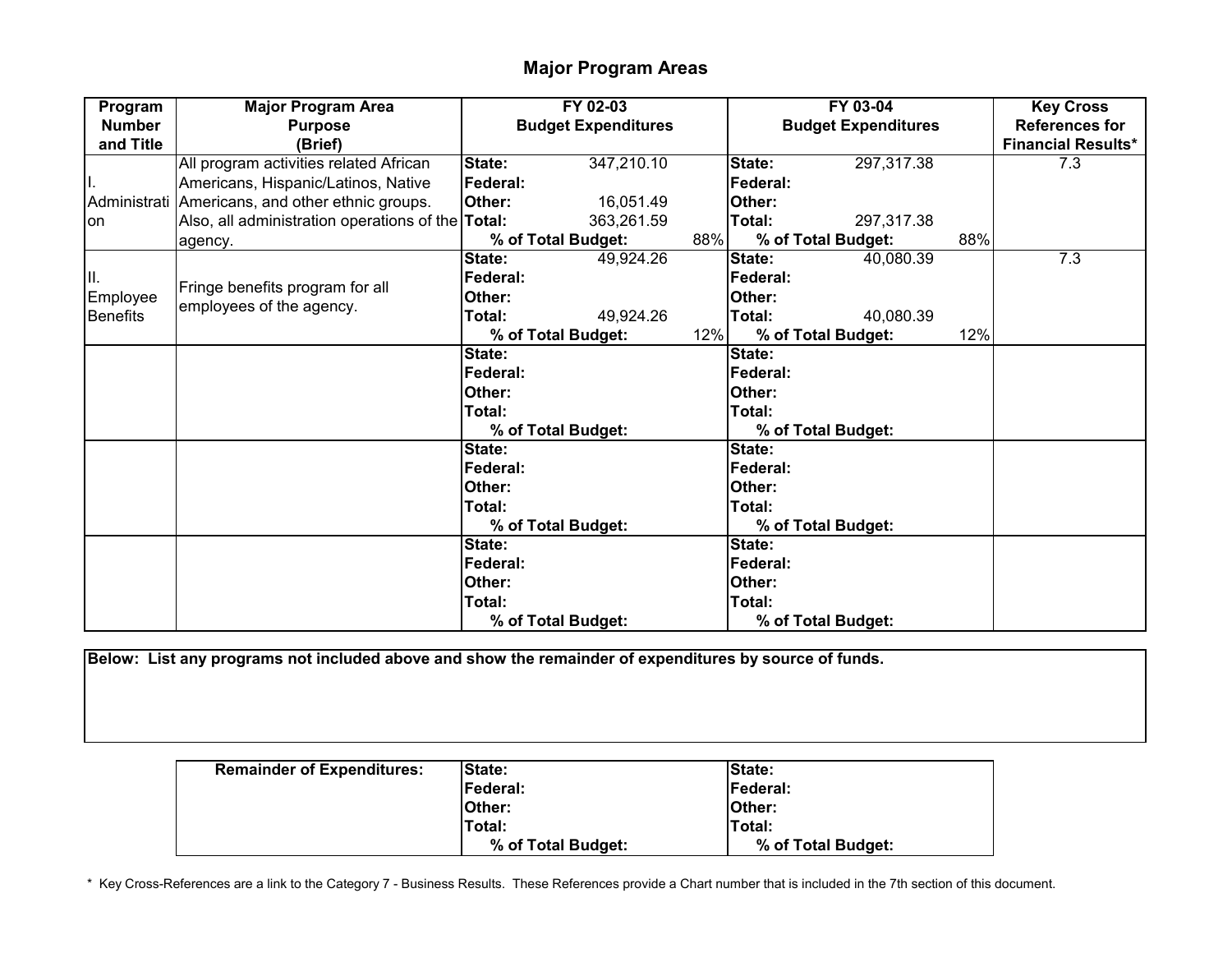## **Major Program Areas**

| Program         | <b>Major Program Area</b>                                   |                 | FY 02-03                   |     |                 | FY 03-04                   |     | <b>Key Cross</b>          |
|-----------------|-------------------------------------------------------------|-----------------|----------------------------|-----|-----------------|----------------------------|-----|---------------------------|
| <b>Number</b>   | <b>Purpose</b>                                              |                 | <b>Budget Expenditures</b> |     |                 | <b>Budget Expenditures</b> |     | <b>References for</b>     |
| and Title       | (Brief)                                                     |                 |                            |     |                 |                            |     | <b>Financial Results*</b> |
|                 | All program activities related African                      | State:          | 347,210.10                 |     | State:          | 297,317.38                 |     | 7.3                       |
|                 | Americans, Hispanic/Latinos, Native                         | <b>Federal:</b> |                            |     | Federal:        |                            |     |                           |
| Administrati    | Americans, and other ethnic groups.                         | Other:          | 16,051.49                  |     | Other:          |                            |     |                           |
| <b>on</b>       | Also, all administration operations of the Total:           |                 | 363,261.59                 |     | Total:          | 297,317.38                 |     |                           |
|                 | agency.                                                     |                 | % of Total Budget:         | 88% |                 | % of Total Budget:         | 88% |                           |
|                 |                                                             | State:          | 49,924.26                  |     | State:          | 40,080.39                  |     | 7.3                       |
| Ш.              |                                                             | Federal:        |                            |     | Federal:        |                            |     |                           |
| Employee        | Fringe benefits program for all<br>employees of the agency. | Other:          |                            |     | Other:          |                            |     |                           |
| <b>Benefits</b> |                                                             | Total:          | 49,924.26                  |     | Total:          | 40,080.39                  |     |                           |
|                 |                                                             |                 | % of Total Budget:         | 12% |                 | % of Total Budget:         | 12% |                           |
|                 |                                                             | State:          |                            |     | State:          |                            |     |                           |
|                 |                                                             | Federal:        |                            |     | <b>Federal:</b> |                            |     |                           |
|                 |                                                             | Other:          |                            |     | Other:          |                            |     |                           |
|                 |                                                             | Total:          |                            |     | Total:          |                            |     |                           |
|                 |                                                             |                 | % of Total Budget:         |     |                 | % of Total Budget:         |     |                           |
|                 |                                                             | State:          |                            |     | State:          |                            |     |                           |
|                 |                                                             | Federal:        |                            |     | <b>Federal:</b> |                            |     |                           |
|                 |                                                             | Other:          |                            |     | Other:          |                            |     |                           |
|                 |                                                             | Total:          |                            |     | Total:          |                            |     |                           |
|                 |                                                             |                 | % of Total Budget:         |     |                 | % of Total Budget:         |     |                           |
|                 |                                                             | State:          |                            |     | State:          |                            |     |                           |
|                 |                                                             | Federal:        |                            |     | Federal:        |                            |     |                           |
|                 |                                                             | Other:          |                            |     | Other:          |                            |     |                           |
|                 |                                                             | Total:          |                            |     | Total:          |                            |     |                           |
|                 |                                                             |                 | % of Total Budget:         |     |                 | % of Total Budget:         |     |                           |

**Below: List any programs not included above and show the remainder of expenditures by source of funds.**

| <b>Remainder of Expenditures:</b> | <b>State:</b>      | <b>State:</b>      |
|-----------------------------------|--------------------|--------------------|
|                                   | Federal:           | Federal:           |
|                                   | <b>IOther:</b>     | <b>IOther:</b>     |
|                                   | Total:             | Total:             |
|                                   | % of Total Budget: | % of Total Budget: |

\* Key Cross-References are a link to the Category 7 - Business Results. These References provide a Chart number that is included in the 7th section of this document.